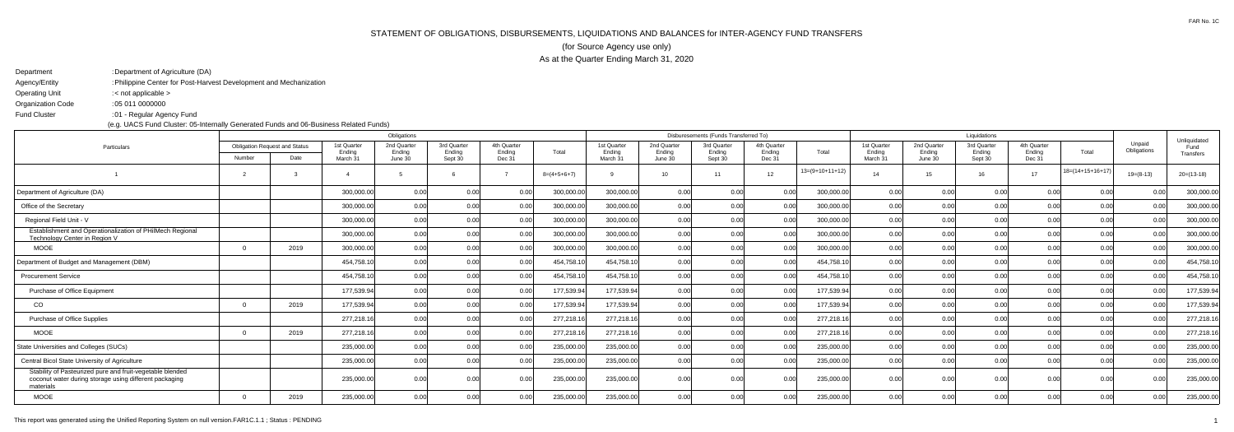## STATEMENT OF OBLIGATIONS, DISBURSEMENTS, LIQUIDATIONS AND BALANCES for INTER-AGENCY FUND TRANSFERS(for Source Agency use only)As at the Quarter Ending March 31, 2020

| : Department of Agriculture (DA)                                   |
|--------------------------------------------------------------------|
| : Philippine Center for Post-Harvest Development and Mechanization |
| : $\lt$ not applicable $\gt$                                       |
| : 05 011 0000000                                                   |
| :01 - Regular Agency Fund                                          |
|                                                                    |

(e.g. UACS Fund Cluster: 05-Internally Generated Funds and 06-Business Related Funds)

|                                                                                                                                  | Obligations                          |      |                    |                   |                   |                  |               |                    | Disburesements (Funds Transferred To) |                   |                  |                   |                    |                   | Liquidations      |                  |                    |                       |                      |
|----------------------------------------------------------------------------------------------------------------------------------|--------------------------------------|------|--------------------|-------------------|-------------------|------------------|---------------|--------------------|---------------------------------------|-------------------|------------------|-------------------|--------------------|-------------------|-------------------|------------------|--------------------|-----------------------|----------------------|
| Particulars                                                                                                                      | <b>Obligation Request and Status</b> |      | 1st Quarter        | 2nd Quarte        | 3rd Quarter       | 4th Quarter      |               | 1st Quarter        | 2nd Quarter                           | 3rd Quarter       | 4th Quarter      |                   | 1st Quarter        | 2nd Quarter       | 3rd Quarter       | 4th Quarter      |                    | Unpaid<br>Obligations | Unliquidated<br>Fund |
|                                                                                                                                  | Number                               | Date | Ending<br>March 31 | Ending<br>June 30 | Ending<br>Sept 30 | Ending<br>Dec 31 | Total         | Ending<br>March 31 | Ending<br>June 30                     | Ending<br>Sept 30 | Ending<br>Dec 31 | Total             | Ending<br>March 31 | Ending<br>June 30 | Ending<br>Sept 30 | Ending<br>Dec 31 | Total              |                       | Transfers            |
|                                                                                                                                  |                                      |      |                    |                   |                   |                  | $8=(4+5+6+7)$ |                    | 10 <sup>1</sup>                       | $-11$             | 12 <sup>1</sup>  | $13=(9+10+11+12)$ | 14                 | 15                | 16                | 17               | $18=(14+15+16+17)$ | $19=(8-13)$           | $20=(13-18)$         |
| Department of Agriculture (DA)                                                                                                   |                                      |      | 300,000.00         | n ool             | 0.00              | 0.00             | 300,000.00    | 300,000.00         | 0.00 <sub>l</sub>                     | 0.00              | 0.00             | 300,000.00        | 0.00               | 0.00 <sub>l</sub> | 0.00              | 0.00             | 0.00               | 0.00                  | 300,000.00           |
| Office of the Secretary                                                                                                          |                                      |      | 300,000.00         | 0.00              | 0.00              | 0.00             | 300,000.00    | 300,000.00         | 0.00 <sub>l</sub>                     | 0.00              | 0.00             | 300,000.00        | 0.00               | 0.00              | 0.00              | 0.00             | 0.00               | 0.001                 | 300,000.00           |
| Regional Field Unit - V                                                                                                          |                                      |      | 300,000.00         | 0.00              | 0.00              | 0.00             | 300,000.00    | 300,000.00         | 0.00                                  | 0.00              | 0.00             | 300,000.00        | 0.00               | 0.00              | 0.00              | 0.00             | 0.00               | 0.00                  | 300,000.00           |
| Establishment and Operationalization of PHilMech Regional<br>Technology Center in Region V                                       |                                      |      | 300,000.00         | 0.00              | 0.00              | 0.00             | 300,000.00    | 300,000.00         | 0.00                                  | 0.00              | 0.00             | 300,000.00        | 0.00               | 0.00              | 0.00              | 0.00             | 0.00               | 0.00                  | 300,000.00           |
| <b>MOOE</b>                                                                                                                      |                                      | 2019 | 300,000.00         | 0.00              | 0.00              | 0.00             | 300,000.0     | 300,000.00         | 0.00                                  | 0.00              | 0.00             | 300,000.00        | 0.00               | 0.00              | 0.00              | 0.00             | 0.00               | 0.00                  | 300,000.00           |
| Department of Budget and Management (DBM)                                                                                        |                                      |      | 454,758.1          | 0.00              | 0.00              | 0.00             | 454,758.1     | 454,758.10         | 0.00                                  | 0.00              | 0.00             | 454,758.10        | 0.00               | 0.00              | 0.00              | 0.00             | 0.00               | 0.00                  | 454,758.10           |
| <b>Procurement Service</b>                                                                                                       |                                      |      | 454,758.1          | 0.00              | 0.00              | 0.00             | 454,758.1     | 454,758.10         | 0.00                                  | 0.00              | 0.00             | 454,758.10        | 0.00               | 0.00              | 0.00              | 0.00             | 0.00               | 0.00                  | 454,758.10           |
| Purchase of Office Equipment                                                                                                     |                                      |      | 177,539.94         | 0.00              | 0.00              | 0.00             | 177,539.94    | 177,539.94         | 0.00 <sub>l</sub>                     | 0.00              | 0.00             | 177,539.94        | 0.00               | 0.00              | 0.00              | 0.00             | 0.00               | 0.00                  | 177,539.94           |
| CO                                                                                                                               |                                      | 2019 | 177,539.94         | 0.00              | 0.00              | 0.00             | 177,539.94    | 177,539.94         | 0.00 <sub>l</sub>                     | 0.00              | 0.00             | 177,539.94        | 0.00               | 0.00              | 0.00              | 0.00             | 0.00               | 0.00                  | 177,539.94           |
| Purchase of Office Supplies                                                                                                      |                                      |      | 277,218.1          | 0.00              | 0.00              | 0.00             | 277,218.1     | 277,218.16         | 0.00 <sub>l</sub>                     | 0.00              | 0.00             | 277,218.16        | 0.00               | 0.00              | 0.00              | 0.00             | 0.00               | 0.00                  | 277,218.16           |
| <b>MOOE</b>                                                                                                                      |                                      | 2019 | 277,218.1          | 0.00              | 0.00              | 0.00             | 277,218.1     | 277,218.16         | 0.00                                  | 0.00              | 0.00             | 277,218.16        | 0.00               | 0.00              | 0.00              | 0.00             | 0.00               | 0.00                  | 277,218.16           |
| State Universities and Colleges (SUCs)                                                                                           |                                      |      | 235,000.00         | 0.00              | 0.00              | 0.00             | 235,000.00    | 235,000.00         | 0.001                                 | 0.00              | 0.00             | 235,000.00        | 0.00               | 0.00              | 0.00              | 0.00             | 0.00               | 0.001                 | 235,000.00           |
| Central Bicol State University of Agriculture                                                                                    |                                      |      | 235,000.00         | 0.00              | 0.00              | 0.00             | 235,000.00    | 235,000.00         | 0.00                                  | 0.00              | 0.00             | 235,000.00        | 0.00               | 0.00              | 0.00              | 0.00             | 0.00               | 0.00                  | 235,000.00           |
| Stability of Pasteurized pure and fruit-vegetable blended<br>coconut water during storage using different packaging<br>materials |                                      |      | 235,000.00         | 0.00              | 0.00              | 0.00             | 235,000.00    | 235,000.00         | 0.001                                 | 0.00              | 0.00             | 235,000.00        | 0.00               | 0.00              | 0.00              | 0.001            | 0.00               | 0.001                 | 235,000.00           |
| <b>MOOE</b>                                                                                                                      |                                      | 2019 | 235,000.00         | n ool             | 0.00              | 0.00             | 235,000.00    | 235,000.00         | 0.00 <sub>l</sub>                     | 0.00              | 0.00             | 235,000.00        | 0.00               | 0.00              | 0.00              | 0.00             | 0.00               | 0.001                 | 235,000.00           |
|                                                                                                                                  |                                      |      |                    |                   |                   |                  |               |                    |                                       |                   |                  |                   |                    |                   |                   |                  |                    |                       |                      |